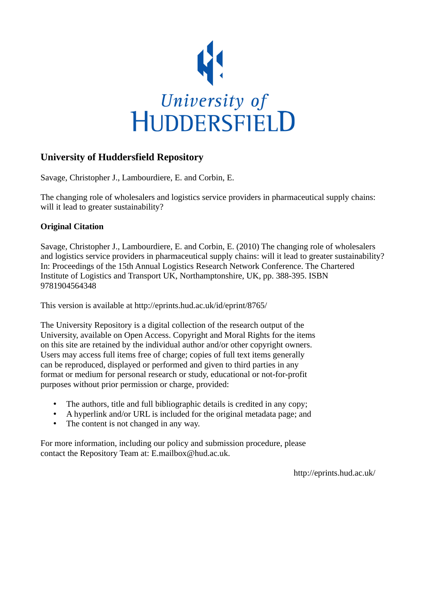

# **University of Huddersfield Repository**

Savage, Christopher J., Lambourdiere, E. and Corbin, E.

The changing role of wholesalers and logistics service providers in pharmaceutical supply chains: will it lead to greater sustainability?

# **Original Citation**

Savage, Christopher J., Lambourdiere, E. and Corbin, E. (2010) The changing role of wholesalers and logistics service providers in pharmaceutical supply chains: will it lead to greater sustainability? In: Proceedings of the 15th Annual Logistics Research Network Conference. The Chartered Institute of Logistics and Transport UK, Northamptonshire, UK, pp. 388-395. ISBN 9781904564348

This version is available at http://eprints.hud.ac.uk/id/eprint/8765/

The University Repository is a digital collection of the research output of the University, available on Open Access. Copyright and Moral Rights for the items on this site are retained by the individual author and/or other copyright owners. Users may access full items free of charge; copies of full text items generally can be reproduced, displayed or performed and given to third parties in any format or medium for personal research or study, educational or not-for-profit purposes without prior permission or charge, provided:

- The authors, title and full bibliographic details is credited in any copy;
- A hyperlink and/or URL is included for the original metadata page; and
- The content is not changed in any way.

For more information, including our policy and submission procedure, please contact the Repository Team at: E.mailbox@hud.ac.uk.

http://eprints.hud.ac.uk/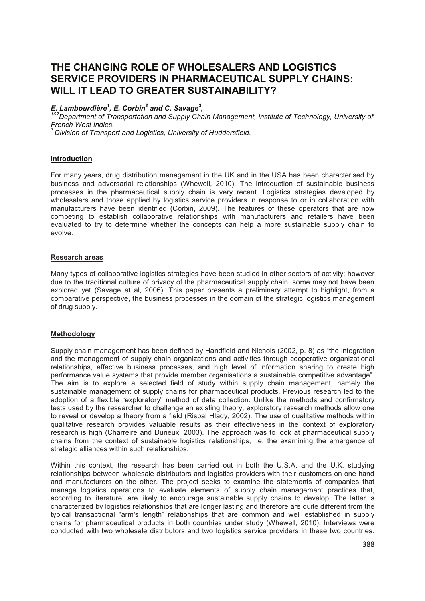# **THE CHANGING ROLE OF WHOLESALERS AND LOGISTICS SERVICE PROVIDERS IN PHARMACEUTICAL SUPPLY CHAINS: WILL IT LEAD TO GREATER SUSTAINABILITY?**

# *E. Lambourdière<sup>1</sup> , E. Corbin<sup>2</sup> and C. Savage<sup>3</sup> ,*

*1&2Department of Transportation and Supply Chain Management, Institute of Technology, University of French West Indies.*

*<sup>3</sup> Division of Transport and Logistics, University of Huddersfield*.

# **Introduction**

For many years, drug distribution management in the UK and in the USA has been characterised by business and adversarial relationships (Whewell, 2010). The introduction of sustainable business processes in the pharmaceutical supply chain is very recent. Logistics strategies developed by wholesalers and those applied by logistics service providers in response to or in collaboration with manufacturers have been identified (Corbin, 2009). The features of these operators that are now competing to establish collaborative relationships with manufacturers and retailers have been evaluated to try to determine whether the concepts can help a more sustainable supply chain to evolve.

### **Research areas**

Many types of collaborative logistics strategies have been studied in other sectors of activity; however due to the traditional culture of privacy of the pharmaceutical supply chain, some may not have been explored yet (Savage et al, 2006). This paper presents a preliminary attempt to highlight, from a comparative perspective, the business processes in the domain of the strategic logistics management of drug supply.

### **Methodology**

Supply chain management has been defined by Handfield and Nichols (2002, p. 8) as "the integration and the management of supply chain organizations and activities through cooperative organizational relationships, effective business processes, and high level of information sharing to create high performance value systems that provide member organisations a sustainable competitive advantage". The aim is to explore a selected field of study within supply chain management, namely the sustainable management of supply chains for pharmaceutical products. Previous research led to the adoption of a flexible "exploratory" method of data collection. Unlike the methods and confirmatory tests used by the researcher to challenge an existing theory, exploratory research methods allow one to reveal or develop a theory from a field (Rispal Hlady, 2002). The use of qualitative methods within qualitative research provides valuable results as their effectiveness in the context of exploratory research is high (Charreire and Durieux, 2003). The approach was to look at pharmaceutical supply chains from the context of sustainable logistics relationships, i.e. the examining the emergence of strategic alliances within such relationships.

Within this context, the research has been carried out in both the U.S.A. and the U.K. studying relationships between wholesale distributors and logistics providers with their customers on one hand and manufacturers on the other. The project seeks to examine the statements of companies that manage logistics operations to evaluate elements of supply chain management practices that, according to literature, are likely to encourage sustainable supply chains to develop. The latter is characterized by logistics relationships that are longer lasting and therefore are quite different from the typical transactional "arm's length" relationships that are common and well established in supply chains for pharmaceutical products in both countries under study (Whewell, 2010). Interviews were conducted with two wholesale distributors and two logistics service providers in these two countries.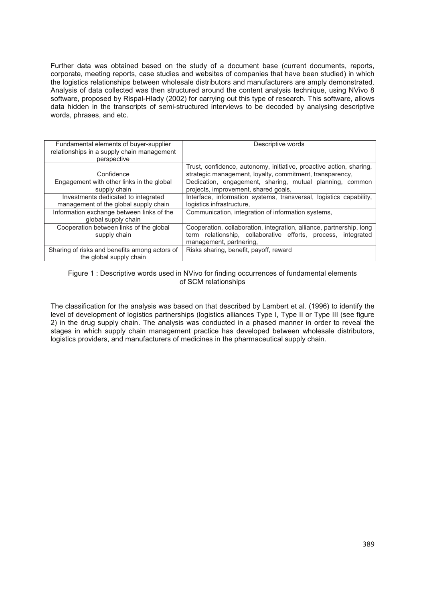Further data was obtained based on the study of a document base (current documents, reports, corporate, meeting reports, case studies and websites of companies that have been studied) in which the logistics relationships between wholesale distributors and manufacturers are amply demonstrated. Analysis of data collected was then structured around the content analysis technique, using NVivo 8 software, proposed by Rispal-Hlady (2002) for carrying out this type of research. This software, allows data hidden in the transcripts of semi-structured interviews to be decoded by analysing descriptive words, phrases, and etc.

| Fundamental elements of buyer-supplier        | Descriptive words                                                    |
|-----------------------------------------------|----------------------------------------------------------------------|
| relationships in a supply chain management    |                                                                      |
|                                               |                                                                      |
| perspective                                   |                                                                      |
|                                               | Trust, confidence, autonomy, initiative, proactive action, sharing,  |
| Confidence                                    | strategic management, loyalty, commitment, transparency,             |
| Engagement with other links in the global     | Dedication, engagement, sharing, mutual planning, common             |
| supply chain                                  | projects, improvement, shared goals,                                 |
| Investments dedicated to integrated           | Interface, information systems, transversal, logistics capability,   |
| management of the global supply chain         | logistics infrastructure,                                            |
| Information exchange between links of the     | Communication, integration of information systems,                   |
| global supply chain                           |                                                                      |
| Cooperation between links of the global       | Cooperation, collaboration, integration, alliance, partnership, long |
| supply chain                                  | term relationship, collaborative efforts, process, integrated        |
|                                               | management, partnering,                                              |
| Sharing of risks and benefits among actors of | Risks sharing, benefit, payoff, reward                               |
| the global supply chain                       |                                                                      |

### Figure 1 : Descriptive words used in NVivo for finding occurrences of fundamental elements of SCM relationships

The classification for the analysis was based on that described by Lambert et al. (1996) to identify the level of development of logistics partnerships (logistics alliances Type I, Type II or Type III (see figure 2) in the drug supply chain. The analysis was conducted in a phased manner in order to reveal the stages in which supply chain management practice has developed between wholesale distributors, logistics providers, and manufacturers of medicines in the pharmaceutical supply chain.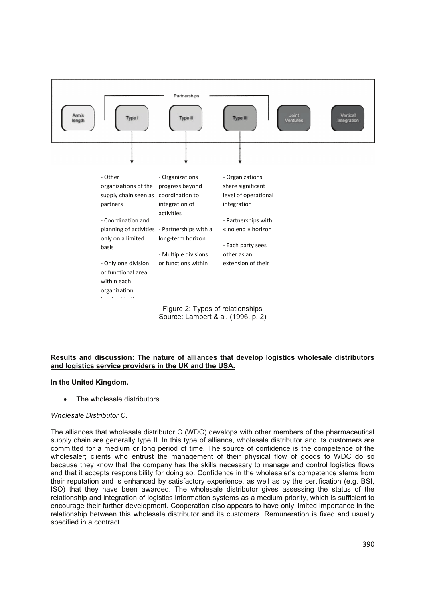

# **Results and discussion: The nature of alliances that develop logistics wholesale distributors and logistics service providers in the UK and the USA.**

### **In the United Kingdom.**

The wholesale distributors.

### *Wholesale Distributor C*.

The alliances that wholesale distributor C (WDC) develops with other members of the pharmaceutical supply chain are generally type II. In this type of alliance, wholesale distributor and its customers are committed for a medium or long period of time. The source of confidence is the competence of the wholesaler; clients who entrust the management of their physical flow of goods to WDC do so because they know that the company has the skills necessary to manage and control logistics flows and that it accepts responsibility for doing so. Confidence in the wholesaler's competence stems from their reputation and is enhanced by satisfactory experience, as well as by the certification (e.g. BSI, ISO) that they have been awarded. The wholesale distributor gives assessing the status of the relationship and integration of logistics information systems as a medium priority, which is sufficient to encourage their further development. Cooperation also appears to have only limited importance in the relationship between this wholesale distributor and its customers. Remuneration is fixed and usually specified in a contract.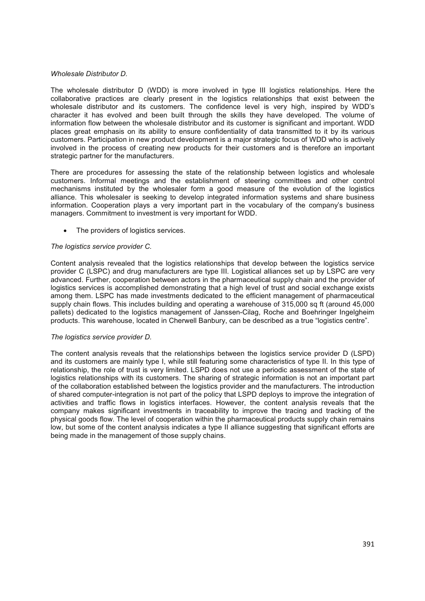## *Wholesale Distributor D.*

The wholesale distributor D (WDD) is more involved in type III logistics relationships. Here the collaborative practices are clearly present in the logistics relationships that exist between the wholesale distributor and its customers. The confidence level is very high, inspired by WDD's character it has evolved and been built through the skills they have developed. The volume of information flow between the wholesale distributor and its customer is significant and important. WDD places great emphasis on its ability to ensure confidentiality of data transmitted to it by its various customers. Participation in new product development is a major strategic focus of WDD who is actively involved in the process of creating new products for their customers and is therefore an important strategic partner for the manufacturers.

There are procedures for assessing the state of the relationship between logistics and wholesale customers. Informal meetings and the establishment of steering committees and other control mechanisms instituted by the wholesaler form a good measure of the evolution of the logistics alliance. This wholesaler is seeking to develop integrated information systems and share business information. Cooperation plays a very important part in the vocabulary of the company's business managers. Commitment to investment is very important for WDD.

The providers of logistics services.

# *The logistics service provider C.*

Content analysis revealed that the logistics relationships that develop between the logistics service provider C (LSPC) and drug manufacturers are type III. Logistical alliances set up by LSPC are very advanced. Further, cooperation between actors in the pharmaceutical supply chain and the provider of logistics services is accomplished demonstrating that a high level of trust and social exchange exists among them. LSPC has made investments dedicated to the efficient management of pharmaceutical supply chain flows. This includes building and operating a warehouse of 315,000 sq ft (around 45,000 pallets) dedicated to the logistics management of Janssen-Cilag, Roche and Boehringer Ingelgheim products. This warehouse, located in Cherwell Banbury, can be described as a true "logistics centre".

### *The logistics service provider D.*

The content analysis reveals that the relationships between the logistics service provider D (LSPD) and its customers are mainly type I, while still featuring some characteristics of type II. In this type of relationship, the role of trust is very limited. LSPD does not use a periodic assessment of the state of logistics relationships with its customers. The sharing of strategic information is not an important part of the collaboration established between the logistics provider and the manufacturers. The introduction of shared computer-integration is not part of the policy that LSPD deploys to improve the integration of activities and traffic flows in logistics interfaces. However, the content analysis reveals that the company makes significant investments in traceability to improve the tracing and tracking of the physical goods flow. The level of cooperation within the pharmaceutical products supply chain remains low, but some of the content analysis indicates a type II alliance suggesting that significant efforts are being made in the management of those supply chains.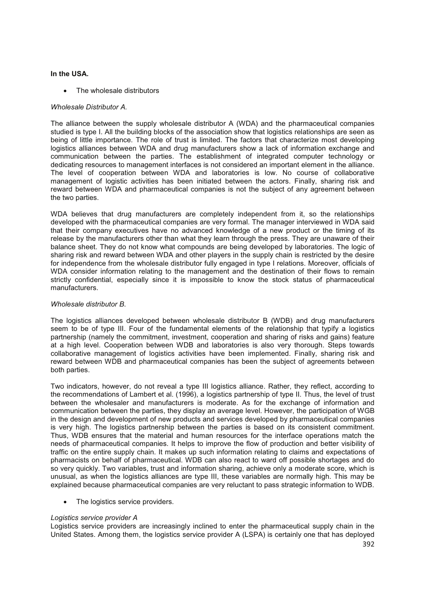# **In the USA.**

The wholesale distributors

# *Wholesale Distributor A.*

The alliance between the supply wholesale distributor A (WDA) and the pharmaceutical companies studied is type I. All the building blocks of the association show that logistics relationships are seen as being of little importance. The role of trust is limited. The factors that characterize most developing logistics alliances between WDA and drug manufacturers show a lack of information exchange and communication between the parties. The establishment of integrated computer technology or dedicating resources to management interfaces is not considered an important element in the alliance. The level of cooperation between WDA and laboratories is low. No course of collaborative management of logistic activities has been initiated between the actors. Finally, sharing risk and reward between WDA and pharmaceutical companies is not the subject of any agreement between the two parties.

WDA believes that drug manufacturers are completely independent from it, so the relationships developed with the pharmaceutical companies are very formal. The manager interviewed in WDA said that their company executives have no advanced knowledge of a new product or the timing of its release by the manufacturers other than what they learn through the press. They are unaware of their balance sheet. They do not know what compounds are being developed by laboratories. The logic of sharing risk and reward between WDA and other players in the supply chain is restricted by the desire for independence from the wholesale distributor fully engaged in type I relations. Moreover, officials of WDA consider information relating to the management and the destination of their flows to remain strictly confidential, especially since it is impossible to know the stock status of pharmaceutical manufacturers.

## *Wholesale distributor B*.

The logistics alliances developed between wholesale distributor B (WDB) and drug manufacturers seem to be of type III. Four of the fundamental elements of the relationship that typify a logistics partnership (namely the commitment, investment, cooperation and sharing of risks and gains) feature at a high level. Cooperation between WDB and laboratories is also very thorough. Steps towards collaborative management of logistics activities have been implemented. Finally, sharing risk and reward between WDB and pharmaceutical companies has been the subject of agreements between both parties.

Two indicators, however, do not reveal a type III logistics alliance. Rather, they reflect, according to the recommendations of Lambert et al. (1996), a logistics partnership of type II. Thus, the level of trust between the wholesaler and manufacturers is moderate. As for the exchange of information and communication between the parties, they display an average level. However, the participation of WGB in the design and development of new products and services developed by pharmaceutical companies is very high. The logistics partnership between the parties is based on its consistent commitment. Thus, WDB ensures that the material and human resources for the interface operations match the needs of pharmaceutical companies. It helps to improve the flow of production and better visibility of traffic on the entire supply chain. It makes up such information relating to claims and expectations of pharmacists on behalf of pharmaceutical. WDB can also react to ward off possible shortages and do so very quickly. Two variables, trust and information sharing, achieve only a moderate score, which is unusual, as when the logistics alliances are type III, these variables are normally high. This may be explained because pharmaceutical companies are very reluctant to pass strategic information to WDB.

• The logistics service providers.

### *Logistics service provider A*

Logistics service providers are increasingly inclined to enter the pharmaceutical supply chain in the United States. Among them, the logistics service provider A (LSPA) is certainly one that has deployed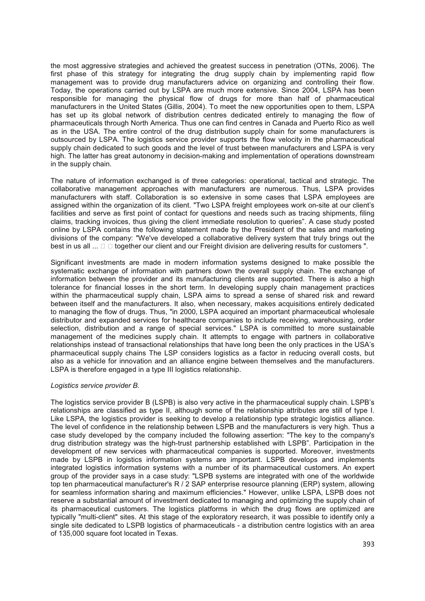the most aggressive strategies and achieved the greatest success in penetration (OTNs, 2006). The first phase of this strategy for integrating the drug supply chain by implementing rapid flow management was to provide drug manufacturers advice on organizing and controlling their flow. Today, the operations carried out by LSPA are much more extensive. Since 2004, LSPA has been responsible for managing the physical flow of drugs for more than half of pharmaceutical manufacturers in the United States (Gillis, 2004). To meet the new opportunities open to them, LSPA has set up its global network of distribution centres dedicated entirely to managing the flow of pharmaceuticals through North America. Thus one can find centres in Canada and Puerto Rico as well as in the USA. The entire control of the drug distribution supply chain for some manufacturers is outsourced by LSPA. The logistics service provider supports the flow velocity in the pharmaceutical supply chain dedicated to such goods and the level of trust between manufacturers and LSPA is very high. The latter has great autonomy in decision-making and implementation of operations downstream in the supply chain.

The nature of information exchanged is of three categories: operational, tactical and strategic. The collaborative management approaches with manufacturers are numerous. Thus, LSPA provides manufacturers with staff. Collaboration is so extensive in some cases that LSPA employees are assigned within the organization of its client. "Two LSPA freight employees work on-site at our client's facilities and serve as first point of contact for questions and needs such as tracing shipments, filing claims, tracking invoices, thus giving the client immediate resolution to queries". A case study posted online by LSPA contains the following statement made by the President of the sales and marketing divisions of the company: "We've developed a collaborative delivery system that truly brings out the best in us all  $\ldots \square \square$  together our client and our Freight division are delivering results for customers ".

Significant investments are made in modern information systems designed to make possible the systematic exchange of information with partners down the overall supply chain. The exchange of information between the provider and its manufacturing clients are supported. There is also a high tolerance for financial losses in the short term. In developing supply chain management practices within the pharmaceutical supply chain, LSPA aims to spread a sense of shared risk and reward between itself and the manufacturers. It also, when necessary, makes acquisitions entirely dedicated to managing the flow of drugs. Thus, "in 2000, LSPA acquired an important pharmaceutical wholesale distributor and expanded services for healthcare companies to include receiving, warehousing, order selection, distribution and a range of special services." LSPA is committed to more sustainable management of the medicines supply chain. It attempts to engage with partners in collaborative relationships instead of transactional relationships that have long been the only practices in the USA's pharmaceutical supply chains The LSP considers logistics as a factor in reducing overall costs, but also as a vehicle for innovation and an alliance engine between themselves and the manufacturers. LSPA is therefore engaged in a type III logistics relationship.

### *Logistics service provider B*.

The logistics service provider B (LSPB) is also very active in the pharmaceutical supply chain. LSPB's relationships are classified as type II, although some of the relationship attributes are still of type I. Like LSPA, the logistics provider is seeking to develop a relationship type strategic logistics alliance. The level of confidence in the relationship between LSPB and the manufacturers is very high. Thus a case study developed by the company included the following assertion: "The key to the company's drug distribution strategy was the high-trust partnership established with LSPB". Participation in the development of new services with pharmaceutical companies is supported. Moreover, investments made by LSPB in logistics information systems are important. LSPB develops and implements integrated logistics information systems with a number of its pharmaceutical customers. An expert group of the provider says in a case study: "LSPB systems are integrated with one of the worldwide top ten pharmaceutical manufacturer's R / 2 SAP enterprise resource planning (ERP) system, allowing for seamless information sharing and maximum efficiencies." However, unlike LSPA, LSPB does not reserve a substantial amount of investment dedicated to managing and optimizing the supply chain of its pharmaceutical customers. The logistics platforms in which the drug flows are optimized are typically "multi-client" sites. At this stage of the exploratory research, it was possible to identify only a single site dedicated to LSPB logistics of pharmaceuticals - a distribution centre logistics with an area of 135,000 square foot located in Texas.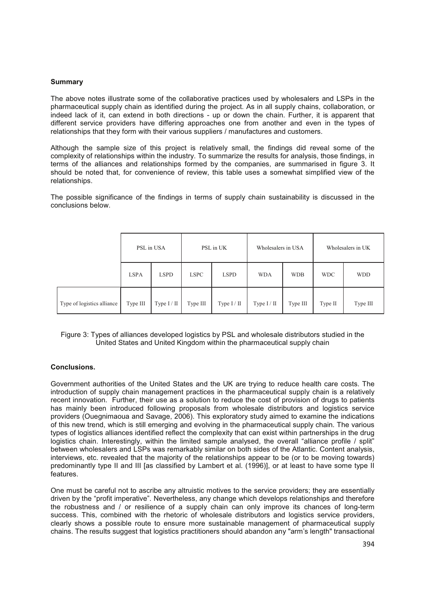# **Summary**

The above notes illustrate some of the collaborative practices used by wholesalers and LSPs in the pharmaceutical supply chain as identified during the project. As in all supply chains, collaboration, or indeed lack of it, can extend in both directions - up or down the chain. Further, it is apparent that different service providers have differing approaches one from another and even in the types of relationships that they form with their various suppliers / manufactures and customers.

Although the sample size of this project is relatively small, the findings did reveal some of the complexity of relationships within the industry. To summarize the results for analysis, those findings, in terms of the alliances and relationships formed by the companies, are summarised in figure 3. It should be noted that, for convenience of review, this table uses a somewhat simplified view of the relationships.

The possible significance of the findings in terms of supply chain sustainability is discussed in the conclusions below.

|                            | PSL in USA  |               | PSL in UK   |             | Wholesalers in USA |            | Wholesalers in UK |            |
|----------------------------|-------------|---------------|-------------|-------------|--------------------|------------|-------------------|------------|
|                            | <b>LSPA</b> | <b>LSPD</b>   | <b>LSPC</b> | <b>LSPD</b> | <b>WDA</b>         | <b>WDB</b> | <b>WDC</b>        | <b>WDD</b> |
| Type of logistics alliance | Type III    | Type $I / II$ | Type III    | Type I / II | Type I / II        | Type III   | Type II           | Type III   |

Figure 3: Types of alliances developed logistics by PSL and wholesale distributors studied in the United States and United Kingdom within the pharmaceutical supply chain

### **Conclusions.**

Government authorities of the United States and the UK are trying to reduce health care costs. The introduction of supply chain management practices in the pharmaceutical supply chain is a relatively recent innovation. Further, their use as a solution to reduce the cost of provision of drugs to patients has mainly been introduced following proposals from wholesale distributors and logistics service providers (Ouegnimaoua and Savage, 2006). This exploratory study aimed to examine the indications of this new trend, which is still emerging and evolving in the pharmaceutical supply chain. The various types of logistics alliances identified reflect the complexity that can exist within partnerships in the drug logistics chain. Interestingly, within the limited sample analysed, the overall "alliance profile / split" between wholesalers and LSPs was remarkably similar on both sides of the Atlantic. Content analysis, interviews, etc. revealed that the majority of the relationships appear to be (or to be moving towards) predominantly type II and III [as classified by Lambert et al. (1996)], or at least to have some type II features.

One must be careful not to ascribe any altruistic motives to the service providers; they are essentially driven by the "profit imperative". Nevertheless, any change which develops relationships and therefore the robustness and / or resilience of a supply chain can only improve its chances of long-term success. This, combined with the rhetoric of wholesale distributors and logistics service providers, clearly shows a possible route to ensure more sustainable management of pharmaceutical supply chains. The results suggest that logistics practitioners should abandon any "arm's length" transactional